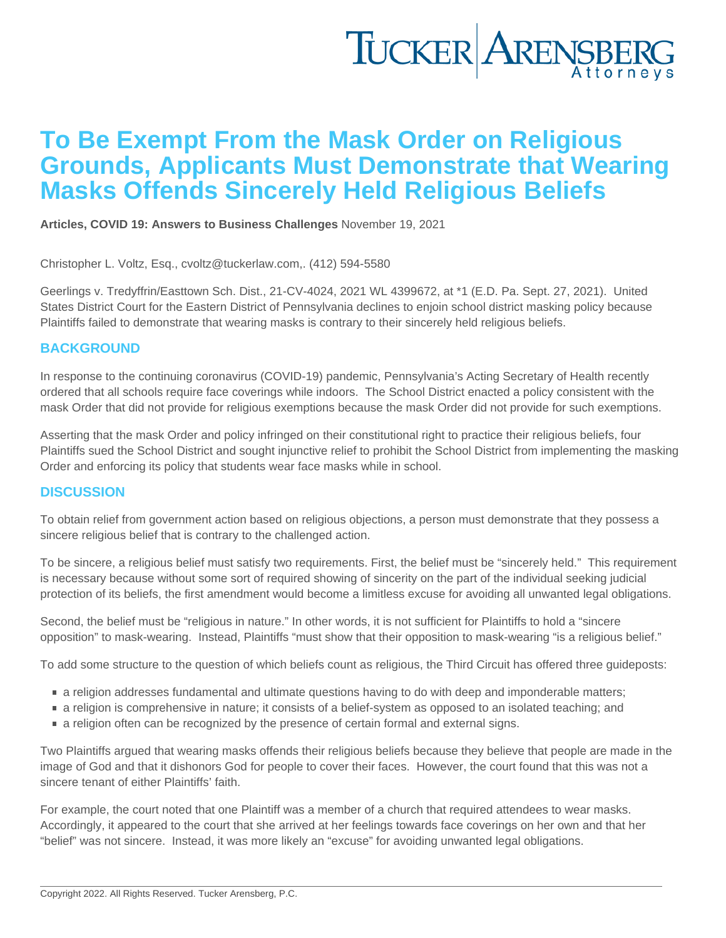## To Be Exempt From the Mask Order on Religious Grounds, Applicants Must Demonstrate that Wearing Masks Offends Sincerely Held Religious Beliefs

[Articles](https://www.tuckerlaw.com/category/articles/), [COVID 19: Answers to Business Challenges](https://www.tuckerlaw.com/category/covid-19-answers-to-business-challenges/) November 19, 2021

Christopher L. Voltz, Esq., [cvoltz@tuckerlaw.com,](mailto:cvoltz@tuckerlaw.com). (412) 594-5580

Geerlings v. Tredyffrin/Easttown Sch. Dist., 21-CV-4024, 2021 WL 4399672, at \*1 (E.D. Pa. Sept. 27, 2021). United States District Court for the Eastern District of Pennsylvania declines to enjoin school district masking policy because Plaintiffs failed to demonstrate that wearing masks is contrary to their sincerely held religious beliefs.

#### **BACKGROUND**

In response to the continuing coronavirus (COVID-19) pandemic, Pennsylvania's Acting Secretary of Health recently ordered that all schools require face coverings while indoors. The School District enacted a policy consistent with the mask Order that did not provide for religious exemptions because the mask Order did not provide for such exemptions.

Asserting that the mask Order and policy infringed on their constitutional right to practice their religious beliefs, four Plaintiffs sued the School District and sought injunctive relief to prohibit the School District from implementing the masking Order and enforcing its policy that students wear face masks while in school.

#### **DISCUSSION**

To obtain relief from government action based on religious objections, a person must demonstrate that they possess a sincere religious belief that is contrary to the challenged action.

To be sincere, a religious belief must satisfy two requirements. First, the belief must be "sincerely held." This requirement is necessary because without some sort of required showing of sincerity on the part of the individual seeking judicial protection of its beliefs, the first amendment would become a limitless excuse for avoiding all unwanted legal obligations.

Second, the belief must be "religious in nature." In other words, it is not sufficient for Plaintiffs to hold a "sincere opposition" to mask-wearing. Instead, Plaintiffs "must show that their opposition to mask-wearing "is a religious belief."

To add some structure to the question of which beliefs count as religious, the Third Circuit has offered three guideposts:

- a religion addresses fundamental and ultimate questions having to do with deep and imponderable matters;
- a religion is comprehensive in nature; it consists of a belief-system as opposed to an isolated teaching; and
- **a** religion often can be recognized by the presence of certain formal and external signs.

Two Plaintiffs argued that wearing masks offends their religious beliefs because they believe that people are made in the image of God and that it dishonors God for people to cover their faces. However, the court found that this was not a sincere tenant of either Plaintiffs' faith.

For example, the court noted that one Plaintiff was a member of a church that required attendees to wear masks. Accordingly, it appeared to the court that she arrived at her feelings towards face coverings on her own and that her "belief" was not sincere. Instead, it was more likely an "excuse" for avoiding unwanted legal obligations.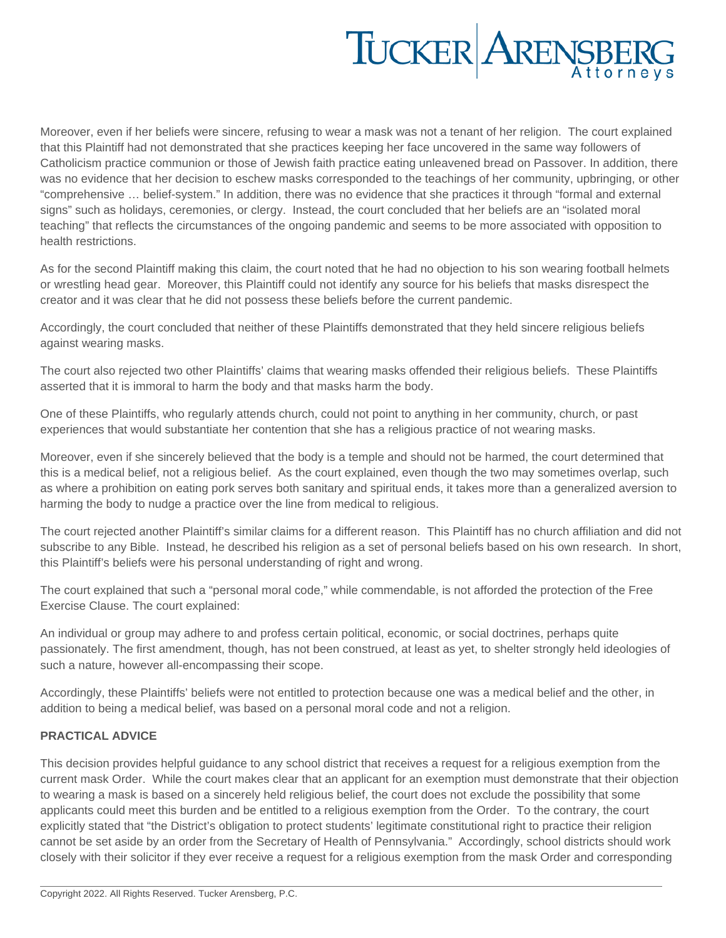# TUCKER ARENSBERG

Moreover, even if her beliefs were sincere, refusing to wear a mask was not a tenant of her religion. The court explained that this Plaintiff had not demonstrated that she practices keeping her face uncovered in the same way followers of Catholicism practice communion or those of Jewish faith practice eating unleavened bread on Passover. In addition, there was no evidence that her decision to eschew masks corresponded to the teachings of her community, upbringing, or other "comprehensive … belief-system." In addition, there was no evidence that she practices it through "formal and external signs" such as holidays, ceremonies, or clergy. Instead, the court concluded that her beliefs are an "isolated moral teaching" that reflects the circumstances of the ongoing pandemic and seems to be more associated with opposition to health restrictions.

As for the second Plaintiff making this claim, the court noted that he had no objection to his son wearing football helmets or wrestling head gear. Moreover, this Plaintiff could not identify any source for his beliefs that masks disrespect the creator and it was clear that he did not possess these beliefs before the current pandemic.

Accordingly, the court concluded that neither of these Plaintiffs demonstrated that they held sincere religious beliefs against wearing masks.

The court also rejected two other Plaintiffs' claims that wearing masks offended their religious beliefs. These Plaintiffs asserted that it is immoral to harm the body and that masks harm the body.

One of these Plaintiffs, who regularly attends church, could not point to anything in her community, church, or past experiences that would substantiate her contention that she has a religious practice of not wearing masks.

Moreover, even if she sincerely believed that the body is a temple and should not be harmed, the court determined that this is a medical belief, not a religious belief. As the court explained, even though the two may sometimes overlap, such as where a prohibition on eating pork serves both sanitary and spiritual ends, it takes more than a generalized aversion to harming the body to nudge a practice over the line from medical to religious.

The court rejected another Plaintiff's similar claims for a different reason. This Plaintiff has no church affiliation and did not subscribe to any Bible. Instead, he described his religion as a set of personal beliefs based on his own research. In short, this Plaintiff's beliefs were his personal understanding of right and wrong.

The court explained that such a "personal moral code," while commendable, is not afforded the protection of the Free Exercise Clause. The court explained:

An individual or group may adhere to and profess certain political, economic, or social doctrines, perhaps quite passionately. The first amendment, though, has not been construed, at least as yet, to shelter strongly held ideologies of such a nature, however all-encompassing their scope.

Accordingly, these Plaintiffs' beliefs were not entitled to protection because one was a medical belief and the other, in addition to being a medical belief, was based on a personal moral code and not a religion.

### **PRACTICAL ADVICE**

This decision provides helpful guidance to any school district that receives a request for a religious exemption from the current mask Order. While the court makes clear that an applicant for an exemption must demonstrate that their objection to wearing a mask is based on a sincerely held religious belief, the court does not exclude the possibility that some applicants could meet this burden and be entitled to a religious exemption from the Order. To the contrary, the court explicitly stated that "the District's obligation to protect students' legitimate constitutional right to practice their religion cannot be set aside by an order from the Secretary of Health of Pennsylvania." Accordingly, school districts should work closely with their solicitor if they ever receive a request for a religious exemption from the mask Order and corresponding